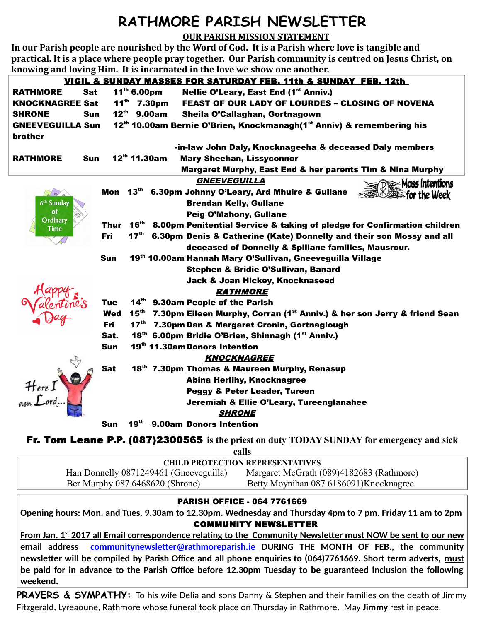## **RATHMORE PARISH NEWSLETTER**

**OUR PARISH MISSION STATEMENT**

**In our Parish people are nourished by the Word of God. It is a Parish where love is tangible and practical. It is a place where people pray together. Our Parish community is centred on Jesus Christ, on knowing and loving Him. It is incarnated in the love we show one another.**

|                                                                                                                              |            |                   | <u>VIGIL &amp; SUNDAY MASSES FOR SATURDAY FEB. 11th &amp; SUNDAY FEB. 12th</u>        |  |  |
|------------------------------------------------------------------------------------------------------------------------------|------------|-------------------|---------------------------------------------------------------------------------------|--|--|
| <b>RATHMORE</b><br><b>Sat</b>                                                                                                |            | $11^{th}$ 6.00pm  | Nellie O'Leary, East End (1 <sup>st</sup> Anniv.)                                     |  |  |
| <b>KNOCKNAGREE Sat</b>                                                                                                       |            |                   | $11^{th}$ 7.30pm<br><b>FEAST OF OUR LADY OF LOURDES - CLOSING OF NOVENA</b>           |  |  |
| <b>SHRONE</b><br>Sun                                                                                                         |            |                   | $12^{th}$ 9.00am<br>Sheila O'Callaghan, Gortnagown                                    |  |  |
| 12 <sup>th</sup> 10.00am Bernie O'Brien, Knockmanagh(1 <sup>st</sup> Anniv) & remembering his<br><b>GNEEVEGUILLA Sun</b>     |            |                   |                                                                                       |  |  |
| brother                                                                                                                      |            |                   |                                                                                       |  |  |
|                                                                                                                              |            |                   | -in-law John Daly, Knocknageeha & deceased Daly members                               |  |  |
| <b>RATHMORE</b><br>Sun                                                                                                       |            | $12^{th}$ 11.30am | <b>Mary Sheehan, Lissyconnor</b>                                                      |  |  |
| Margaret Murphy, East End & her parents Tim & Nina Murphy                                                                    |            |                   |                                                                                       |  |  |
|                                                                                                                              |            |                   | <b>GNEEVEGUILLA</b><br>$\leq$ De Mass Intentions                                      |  |  |
| $\frac{dy}{dx}$                                                                                                              | Mon        |                   | 13th 6.30pm Johnny O'Leary, Ard Mhuire & Gullane<br><b>Essenting Week</b>             |  |  |
| 6 <sup>th</sup> Sunday                                                                                                       |            |                   | <b>Brendan Kelly, Gullane</b>                                                         |  |  |
| οf<br>Ordinary                                                                                                               |            |                   | Peig O'Mahony, Gullane                                                                |  |  |
| Time                                                                                                                         | Thur       | $16^{\text{th}}$  | 8.00pm Penitential Service & taking of pledge for Confirmation children               |  |  |
|                                                                                                                              | <b>Fri</b> |                   | 17 <sup>th</sup> 6.30pm Denis & Catherine (Kate) Donnelly and their son Mossy and all |  |  |
|                                                                                                                              |            |                   | deceased of Donnelly & Spillane families, Mausrour.                                   |  |  |
|                                                                                                                              | <b>Sun</b> |                   | 19th 10.00am Hannah Mary O'Sullivan, Gneeveguilla Village                             |  |  |
|                                                                                                                              |            |                   | Stephen & Bridie O'Sullivan, Banard                                                   |  |  |
|                                                                                                                              |            |                   | Jack & Joan Hickey, Knocknaseed                                                       |  |  |
| Aupro.                                                                                                                       |            |                   | <i><b>RATHMORE</b></i>                                                                |  |  |
|                                                                                                                              | <b>Tue</b> |                   | 14th 9.30am People of the Parish                                                      |  |  |
|                                                                                                                              | <b>Wed</b> | $15^{\text{th}}$  | 7.30pm Eileen Murphy, Corran (1 <sup>st</sup> Anniv.) & her son Jerry & friend Sean   |  |  |
|                                                                                                                              | <b>Fri</b> |                   | 17th 7.30pm Dan & Margaret Cronin, Gortnaglough                                       |  |  |
|                                                                                                                              | Sat.       |                   | 18th 6.00pm Bridie O'Brien, Shinnagh (1st Anniv.)                                     |  |  |
|                                                                                                                              | <b>Sun</b> |                   | 19th 11.30am Donors Intention                                                         |  |  |
|                                                                                                                              |            |                   | <b>KNOCKNAGREE</b>                                                                    |  |  |
|                                                                                                                              | <b>Sat</b> |                   | 18th 7.30pm Thomas & Maureen Murphy, Renasup                                          |  |  |
|                                                                                                                              |            |                   | <b>Abina Herlihy, Knocknagree</b>                                                     |  |  |
|                                                                                                                              |            |                   | <b>Peggy &amp; Peter Leader, Tureen</b>                                               |  |  |
| Here I                                                                                                                       |            |                   | Jeremiah & Ellie O'Leary, Tureenglanahee                                              |  |  |
|                                                                                                                              |            |                   | <b>SHRONE</b>                                                                         |  |  |
|                                                                                                                              | Sun        | 19 <sup>th</sup>  | 9.00am Donors Intention                                                               |  |  |
| <b>Fr. Tom Leane P.P. (087)2300565</b> is the priest on duty $\underline{\text{TDAY} \text{ SUNDAY}}$ for emergency and sick |            |                   |                                                                                       |  |  |

**calls**

| <b>CHILD PROTECTION REPRESENTATIVES</b> |                                          |  |  |  |
|-----------------------------------------|------------------------------------------|--|--|--|
| Han Donnelly 0871249461 (Gneeveguilla)  | Margaret McGrath (089)4182683 (Rathmore) |  |  |  |
| Ber Murphy 087 6468620 (Shrone)         | Betty Moynihan 087 6186091)Knocknagree   |  |  |  |

## PARISH OFFICE - 064 7761669

**Opening hours: Mon. and Tues. 9.30am to 12.30pm. Wednesday and Thursday 4pm to 7 pm. Friday 11 am to 2pm** COMMUNITY NEWSLETTER

 **From Jan. 1st 2017 all Email correspondence relating to the Community Newsletter must NOW be sent to our new email address [communitynewsletter@rathmoreparish.ie](mailto:communitynewsletter@rathmoreparish.ie) DURING THE MONTH OF FEB., the community newsletter will be compiled by Parish Office and all phone enquiries to (064)7761669. Short term adverts, must be paid for in advance to the Parish Office before 12.30pm Tuesday to be guaranteed inclusion the following weekend.** 

**PRAYERS & SYMPATHY:** To his wife Delia and sons Danny & Stephen and their families on the death of Jimmy Fitzgerald, Lyreaoune, Rathmore whose funeral took place on Thursday in Rathmore. May **Jimmy** rest in peace.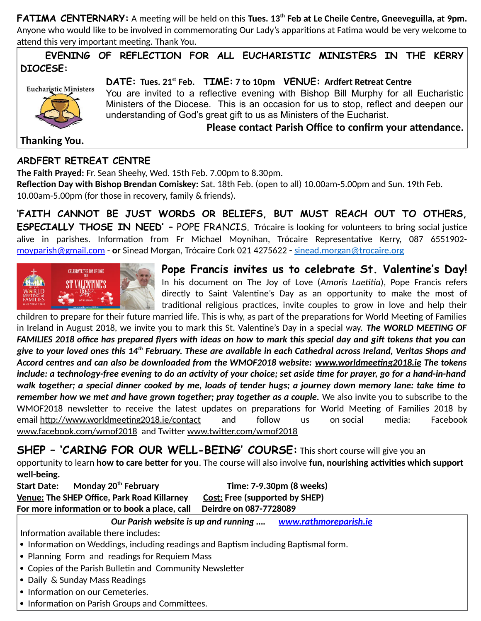**FATIMA CENTERNARY:** A meeting will be held on this **Tues. 13th Feb at Le Cheile Centre, Gneeveguilla, at 9pm.** Anyone who would like to be involved in commemorating Our Lady's apparitions at Fatima would be very welcome to attend this very important meeting. Thank You.

 **EVENING OF REFLECTION FOR ALL EUCHARISTIC MINISTERS IN THE KERRY DIOCESE:**



**DATE: Tues. 21st Feb. TIME: 7 to 10pm VENUE: Ardfert Retreat Centre** You are invited to a reflective evening with Bishop Bill Murphy for all Eucharistic Ministers of the Diocese. This is an occasion for us to stop, reflect and deepen our understanding of God's great gift to us as Ministers of the Eucharist.

 **Please contact Parish Office to confirm your attendance.**

**Thanking You.**

## **ARDFERT RETREAT CENTRE**

**The Faith Prayed:** Fr. Sean Sheehy, Wed. 15th Feb. 7.00pm to 8.30pm.

**Reflection Day with Bishop Brendan Comiskey:** Sat. 18th Feb. (open to all) 10.00am-5.00pm and Sun. 19th Feb. 10.00am-5.00pm (for those in recovery, family & friends).

**'FAITH CANNOT BE JUST WORDS OR BELIEFS, BUT MUST REACH OUT TO OTHERS, ESPECIALLY THOSE IN NEED'** – POPE FRANCIS. Trócaire is looking for volunteers to bring social justice alive in parishes. Information from Fr Michael Moynihan, Trócaire Representative Kerry, 087 6551902 [moyparish@gmail.com](mailto:moyparish@gmail.com) - **or** Sinead Morgan, Trócaire Cork 021 4275622 **-** [sinead.morgan@trocaire.org](mailto:sinead.morgan@trocaire.org)



**Pope Francis invites us to celebrate St. Valentine's Day!** In his document on The Joy of Love (*Amoris Laetitia*), Pope Francis refers directly to Saint Valentine's Day as an opportunity to make the most of traditional religious practices, invite couples to grow in love and help their

children to prepare for their future married life. This is why, as part of the preparations for World Meeting of Families in Ireland in August 2018, we invite you to mark this St. Valentine's Day in a special way. *The WORLD MEETING OF FAMILIES 2018 office has prepared flyers with ideas on how to mark this special day and gift tokens that you can give to your loved ones this 14th February. These are available in each Cathedral across Ireland, Veritas Shops and Accord centres and can also be downloaded from the WMOF2018 website: [www.worldmeeting2018.ie](http://www.worldmeeting2018.ie/) The tokens include: a technology-free evening to do an activity of your choice; set aside time for prayer, go for a hand-in-hand walk together; a special dinner cooked by me, loads of tender hugs; a journey down memory lane: take time to remember how we met and have grown together; pray together as a couple.* We also invite you to subscribe to the WMOF2018 newsletter to receive the latest updates on preparations for World Meeting of Families 2018 by email <http://www.worldmeeting2018.ie/contact>and follow us on social media: Facebook [www.facebook.com/wmof2018](http://www.facebook.com/wmof2018) and Twitter [www.twitter.com/wmof2018](http://www.twitter.com/wmof2018)

**SHEP - 'CARING FOR OUR WELL-BEING' COURSE:** This short course will give you an

opportunity to learn **how to care better for you**. The course will also involve **fun, nourishing activities which support well-being.**

**Start Date: Monday 20th February Time: 7-9.30pm (8 weeks) Venue: The SHEP Office, Park Road Killarney Cost: Free (supported by SHEP) For more information or to book a place, call Deirdre on 087-7728089**

*Our Parish website is up and running …. [www.rathmoreparish.ie](http://www.rathmoreparish.ie/)*

Information available there includes:

- Information on Weddings, including readings and Baptism including Baptismal form.
- Planning Form and readings for Requiem Mass
- Copies of the Parish Bulletin and Community Newsletter
- Daily & Sunday Mass Readings
- Information on our Cemeteries.
- Information on Parish Groups and Committees.